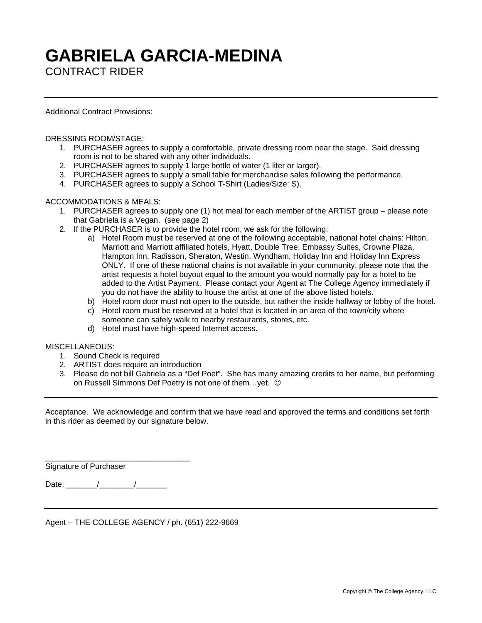# **GABRIELA GARCIA-MEDINA**

CONTRACT RIDER

Additional Contract Provisions:

# DRESSING ROOM/STAGE:

- 1. PURCHASER agrees to supply a comfortable, private dressing room near the stage. Said dressing room is not to be shared with any other individuals.
- 2. PURCHASER agrees to supply 1 large bottle of water (1 liter or larger).
- 3. PURCHASER agrees to supply a small table for merchandise sales following the performance.
- 4. PURCHASER agrees to supply a School T-Shirt (Ladies/Size: S).

# ACCOMMODATIONS & MEALS:

- 1. PURCHASER agrees to supply one (1) hot meal for each member of the ARTIST group please note that Gabriela is a Vegan. (see page 2)
- 2. If the PURCHASER is to provide the hotel room, we ask for the following:
	- a) Hotel Room must be reserved at one of the following acceptable, national hotel chains: Hilton, Marriott and Marriott affiliated hotels, Hyatt, Double Tree, Embassy Suites, Crowne Plaza, Hampton Inn, Radisson, Sheraton, Westin, Wyndham, Holiday Inn and Holiday Inn Express ONLY. If one of these national chains is not available in your community, please note that the artist requests a hotel buyout equal to the amount you would normally pay for a hotel to be added to the Artist Payment. Please contact your Agent at The College Agency immediately if you do not have the ability to house the artist at one of the above listed hotels.
	- b) Hotel room door must not open to the outside, but rather the inside hallway or lobby of the hotel.
	- c) Hotel room must be reserved at a hotel that is located in an area of the town/city where someone can safely walk to nearby restaurants, stores, etc.
	- d) Hotel must have high-speed Internet access.

## MISCELLANEOUS:

- 1. Sound Check is required
- 2. ARTIST does require an introduction
- 3. Please do not bill Gabriela as a "Def Poet". She has many amazing credits to her name, but performing on Russell Simmons Def Poetry is not one of them…yet.

Acceptance. We acknowledge and confirm that we have read and approved the terms and conditions set forth in this rider as deemed by our signature below.

Signature of Purchaser

Date: \_\_\_\_\_\_\_/\_\_\_\_\_\_\_\_/\_\_\_\_\_\_\_

\_\_\_\_\_\_\_\_\_\_\_\_\_\_\_\_\_\_\_\_\_\_\_\_\_\_\_\_\_\_\_\_\_

Agent – THE COLLEGE AGENCY / ph. (651) 222-9669